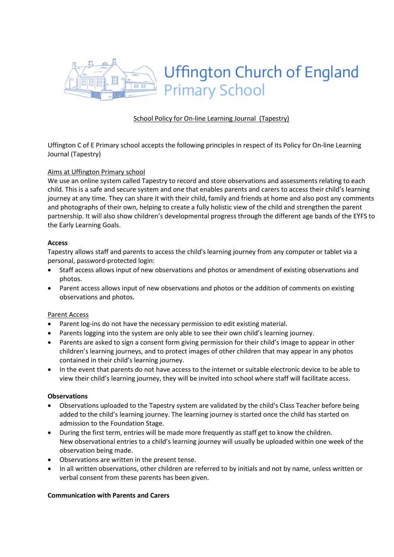

## School Policy for On-line Learning Journal (Tapestry)

Uffington C of E Primary school accepts the following principles in respect of its Policy for On-line Learning Journal (Tapestry)

## Aims at Uffington Primary school

We use an online system called Tapestry to record and store observations and assessments relating to each child. This is a safe and secure system and one that enables parents and carers to access their child's learning journey at any time. They can share it with their child, family and friends at home and also post any comments and photographs of their own, helping to create a fully holistic view of the child and strengthen the parent partnership. It will also show children's developmental progress through the different age bands of the EYFS to the Early Learning Goals.

## Access

Tapestry allows staff and parents to access the child's learning journey from any computer or tablet via a personal, password-protected login:

- Staff access allows input of new observations and photos or amendment of existing observations and photos.
- Parent access allows input of new observations and photos or the addition of comments on existing observations and photos.

#### Parent Access

- Parent log-ins do not have the necessary permission to edit existing material.
- Parents logging into the system are only able to see their own child's learning journey.
- Parents are asked to sign a consent form giving permission for their child's image to appear in other children's learning journeys, and to protect images of other children that may appear in any photos contained in their child's learning journey.
- In the event that parents do not have access to the internet or suitable electronic device to be able to view their child's learning journey, they will be invited into school where staff will facilitate access.

#### **Observations**

- Observations uploaded to the Tapestry system are validated by the child's Class Teacher before being added to the child's learning journey. The learning journey is started once the child has started on admission to the Foundation Stage.
- During the first term, entries will be made more frequently as staff get to know the children. New observational entries to a child's learning journey will usually be uploaded within one week of the observation being made.
- Observations are written in the present tense.
- In all written observations, other children are referred to by initials and not by name, unless written or verbal consent from these parents has been given.

#### Communication with Parents and Carers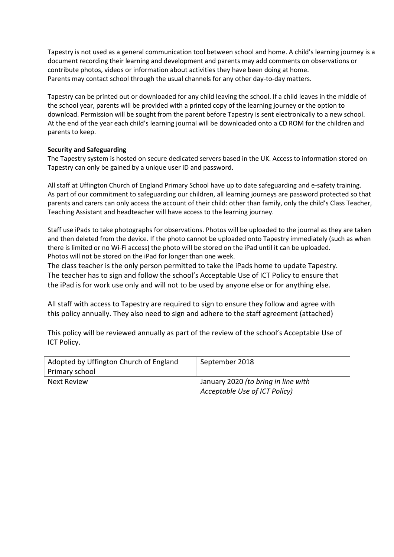Tapestry is not used as a general communication tool between school and home. A child's learning journey is a document recording their learning and development and parents may add comments on observations or contribute photos, videos or information about activities they have been doing at home. Parents may contact school through the usual channels for any other day-to-day matters.

Tapestry can be printed out or downloaded for any child leaving the school. If a child leaves in the middle of the school year, parents will be provided with a printed copy of the learning journey or the option to download. Permission will be sought from the parent before Tapestry is sent electronically to a new school. At the end of the year each child's learning journal will be downloaded onto a CD ROM for the children and parents to keep.

## Security and Safeguarding

The Tapestry system is hosted on secure dedicated servers based in the UK. Access to information stored on Tapestry can only be gained by a unique user ID and password.

All staff at Uffington Church of England Primary School have up to date safeguarding and e-safety training. As part of our commitment to safeguarding our children, all learning journeys are password protected so that parents and carers can only access the account of their child: other than family, only the child's Class Teacher, Teaching Assistant and headteacher will have access to the learning journey.

Staff use iPads to take photographs for observations. Photos will be uploaded to the journal as they are taken and then deleted from the device. If the photo cannot be uploaded onto Tapestry immediately (such as when there is limited or no Wi-Fi access) the photo will be stored on the iPad until it can be uploaded. Photos will not be stored on the iPad for longer than one week.

The class teacher is the only person permitted to take the iPads home to update Tapestry. The teacher has to sign and follow the school's Acceptable Use of ICT Policy to ensure that the iPad is for work use only and will not to be used by anyone else or for anything else.

All staff with access to Tapestry are required to sign to ensure they follow and agree with this policy annually. They also need to sign and adhere to the staff agreement (attached)

This policy will be reviewed annually as part of the review of the school's Acceptable Use of ICT Policy.

| Adopted by Uffington Church of England | September 2018                      |
|----------------------------------------|-------------------------------------|
| Primary school                         |                                     |
| Next Review                            | January 2020 (to bring in line with |
|                                        | Acceptable Use of ICT Policy)       |